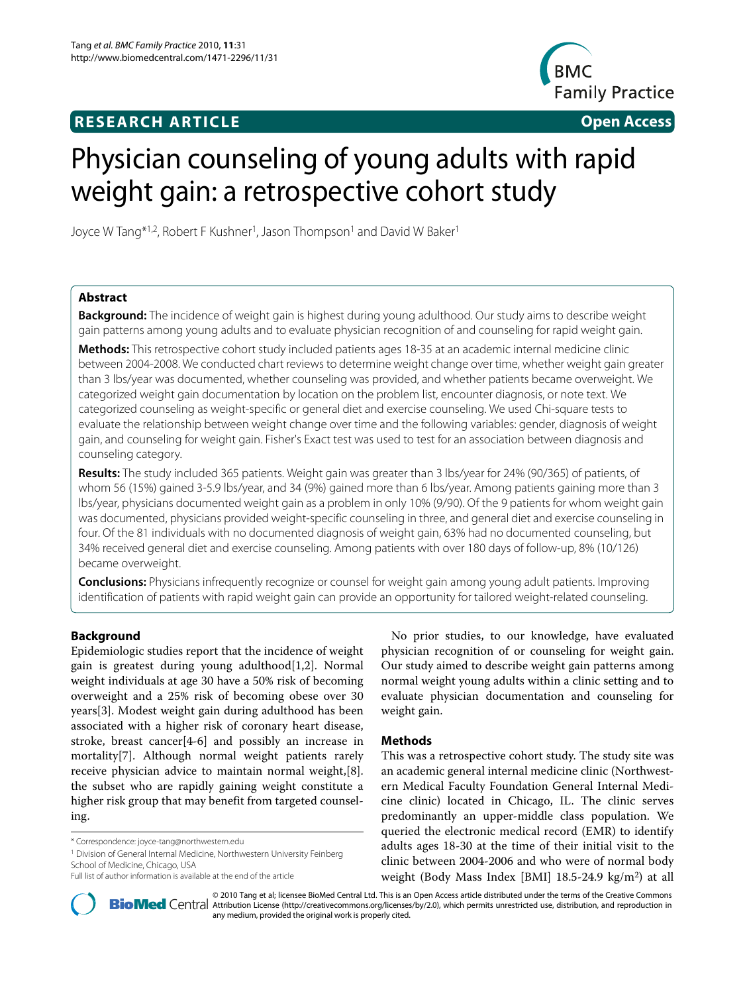# **RESEARCH ARTICLE Open Access**



# Physician counseling of young adults with rapid weight gain: a retrospective cohort study

Joyce W Tang<sup>\*1,2</sup>, Robert F Kushner<sup>1</sup>, Jason Thompson<sup>1</sup> and David W Baker<sup>1</sup>

# **Abstract**

**Background:** The incidence of weight gain is highest during young adulthood. Our study aims to describe weight gain patterns among young adults and to evaluate physician recognition of and counseling for rapid weight gain.

**Methods:** This retrospective cohort study included patients ages 18-35 at an academic internal medicine clinic between 2004-2008. We conducted chart reviews to determine weight change over time, whether weight gain greater than 3 lbs/year was documented, whether counseling was provided, and whether patients became overweight. We categorized weight gain documentation by location on the problem list, encounter diagnosis, or note text. We categorized counseling as weight-specific or general diet and exercise counseling. We used Chi-square tests to evaluate the relationship between weight change over time and the following variables: gender, diagnosis of weight gain, and counseling for weight gain. Fisher's Exact test was used to test for an association between diagnosis and counseling category.

**Results:** The study included 365 patients. Weight gain was greater than 3 lbs/year for 24% (90/365) of patients, of whom 56 (15%) gained 3-5.9 lbs/year, and 34 (9%) gained more than 6 lbs/year. Among patients gaining more than 3 lbs/year, physicians documented weight gain as a problem in only 10% (9/90). Of the 9 patients for whom weight gain was documented, physicians provided weight-specific counseling in three, and general diet and exercise counseling in four. Of the 81 individuals with no documented diagnosis of weight gain, 63% had no documented counseling, but 34% received general diet and exercise counseling. Among patients with over 180 days of follow-up, 8% (10/126) became overweight.

**Conclusions:** Physicians infrequently recognize or counsel for weight gain among young adult patients. Improving identification of patients with rapid weight gain can provide an opportunity for tailored weight-related counseling.

# **Background**

Epidemiologic studies report that the incidence of weight gain is greatest during young adulthood[\[1](#page-3-0)[,2](#page-3-1)]. Normal weight individuals at age 30 have a 50% risk of becoming overweight and a 25% risk of becoming obese over 30 years[[3\]](#page-3-2). Modest weight gain during adulthood has been associated with a higher risk of coronary heart disease, stroke, breast cancer[\[4](#page-3-3)-[6\]](#page-3-4) and possibly an increase in mortality[[7\]](#page-3-5). Although normal weight patients rarely receive physician advice to maintain normal weight,[\[8](#page-3-6)]. the subset who are rapidly gaining weight constitute a higher risk group that may benefit from targeted counseling.

1 Division of General Internal Medicine, Northwestern University Feinberg School of Medicine, Chicago, USA

No prior studies, to our knowledge, have evaluated physician recognition of or counseling for weight gain. Our study aimed to describe weight gain patterns among normal weight young adults within a clinic setting and to evaluate physician documentation and counseling for weight gain.

# **Methods**

This was a retrospective cohort study. The study site was an academic general internal medicine clinic (Northwestern Medical Faculty Foundation General Internal Medicine clinic) located in Chicago, IL. The clinic serves predominantly an upper-middle class population. We queried the electronic medical record (EMR) to identify adults ages 18-30 at the time of their initial visit to the clinic between 2004-2006 and who were of normal body weight (Body Mass Index [BMI] 18.5-24.9 kg/m2) at all



2010 Tang et al; licensee [BioMed](http://www.biomedcentral.com/) Central Ltd. This is an Open Access article distributed under the terms of the Creative Commons (http://creativecommons.org/licenses/by/2.0), which permits unrestricted use, distribution, a any medium, provided the original work is properly cited.

<sup>\*</sup> Correspondence: joyce-tang@northwestern.edu

Full list of author information is available at the end of the article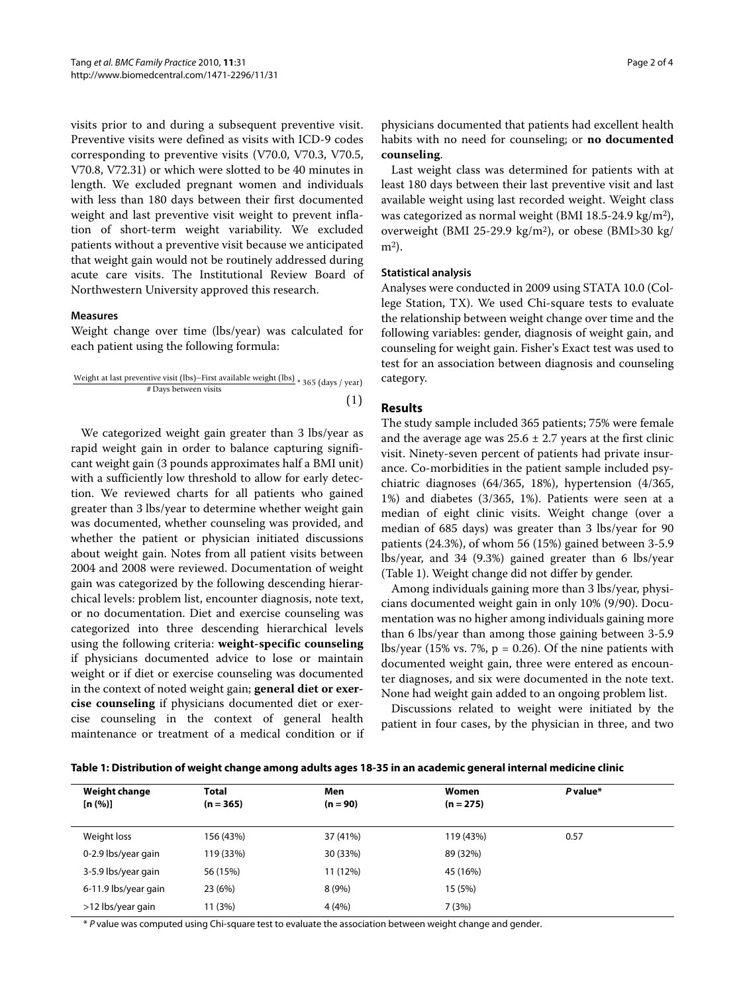visits prior to and during a subsequent preventive visit. Preventive visits were defined as visits with ICD-9 codes corresponding to preventive visits (V70.0, V70.3, V70.5, V70.8, V72.31) or which were slotted to be 40 minutes in length. We excluded pregnant women and individuals with less than 180 days between their first documented weight and last preventive visit weight to prevent inflation of short-term weight variability. We excluded patients without a preventive visit because we anticipated that weight gain would not be routinely addressed during acute care visits. The Institutional Review Board of Northwestern University approved this research.

#### **Measures**

Weight change over time (lbs/year) was calculated for each patient using the following formula:

Weight at last preventive visit (lbs)–First available weight (lbs) 
$$
\ast
$$
 365 (days / year)

\n# Days between visits

\n(1)

We categorized weight gain greater than 3 lbs/year as rapid weight gain in order to balance capturing significant weight gain (3 pounds approximates half a BMI unit) with a sufficiently low threshold to allow for early detection. We reviewed charts for all patients who gained greater than 3 lbs/year to determine whether weight gain was documented, whether counseling was provided, and whether the patient or physician initiated discussions about weight gain. Notes from all patient visits between 2004 and 2008 were reviewed. Documentation of weight gain was categorized by the following descending hierarchical levels: problem list, encounter diagnosis, note text, or no documentation. Diet and exercise counseling was categorized into three descending hierarchical levels using the following criteria: **weight-specific counseling** if physicians documented advice to lose or maintain weight or if diet or exercise counseling was documented in the context of noted weight gain; **general diet or exercise counseling** if physicians documented diet or exercise counseling in the context of general health maintenance or treatment of a medical condition or if

physicians documented that patients had excellent health habits with no need for counseling; or **no documented counseling**.

Last weight class was determined for patients with at least 180 days between their last preventive visit and last available weight using last recorded weight. Weight class was categorized as normal weight (BMI 18.5-24.9 kg/m<sup>2</sup>), overweight (BMI 25-29.9 kg/m<sup>2</sup>), or obese (BMI>30 kg/ m2).

## **Statistical analysis**

Analyses were conducted in 2009 using STATA 10.0 (College Station, TX). We used Chi-square tests to evaluate the relationship between weight change over time and the following variables: gender, diagnosis of weight gain, and counseling for weight gain. Fisher's Exact test was used to test for an association between diagnosis and counseling category.

# **Results**

The study sample included 365 patients; 75% were female and the average age was  $25.6 \pm 2.7$  years at the first clinic visit. Ninety-seven percent of patients had private insurance. Co-morbidities in the patient sample included psychiatric diagnoses (64/365, 18%), hypertension (4/365, 1%) and diabetes (3/365, 1%). Patients were seen at a median of eight clinic visits. Weight change (over a median of 685 days) was greater than 3 lbs/year for 90 patients (24.3%), of whom 56 (15%) gained between 3-5.9 lbs/year, and 34 (9.3%) gained greater than 6 lbs/year (Table 1). Weight change did not differ by gender.

Among individuals gaining more than 3 lbs/year, physicians documented weight gain in only 10% (9/90). Documentation was no higher among individuals gaining more than 6 lbs/year than among those gaining between 3-5.9 lbs/year (15% vs. 7%,  $p = 0.26$ ). Of the nine patients with documented weight gain, three were entered as encounter diagnoses, and six were documented in the note text. None had weight gain added to an ongoing problem list.

Discussions related to weight were initiated by the patient in four cases, by the physician in three, and two

| Table 1: Distribution of weight change among adults ages 18-35 in an academic general internal medicine clinic |  |  |  |  |
|----------------------------------------------------------------------------------------------------------------|--|--|--|--|
|                                                                                                                |  |  |  |  |

| <b>Weight change</b><br>[n (%)] | Total<br>$(n = 365)$ | Men<br>$(n = 90)$ | Women<br>$(n = 275)$ | P value* |
|---------------------------------|----------------------|-------------------|----------------------|----------|
| Weight loss                     | 156 (43%)            | 37 (41%)          | 119 (43%)            | 0.57     |
| 0-2.9 lbs/year gain             | 119 (33%)            | 30 (33%)          | 89 (32%)             |          |
| 3-5.9 lbs/year gain             | 56 (15%)             | 11 (12%)          | 45 (16%)             |          |
| 6-11.9 lbs/year gain            | 23 (6%)              | 8(9%)             | 15 (5%)              |          |
| >12 lbs/year gain               | 11 (3%)              | 4(4%)             | 7(3%)                |          |

\* P value was computed using Chi-square test to evaluate the association between weight change and gender.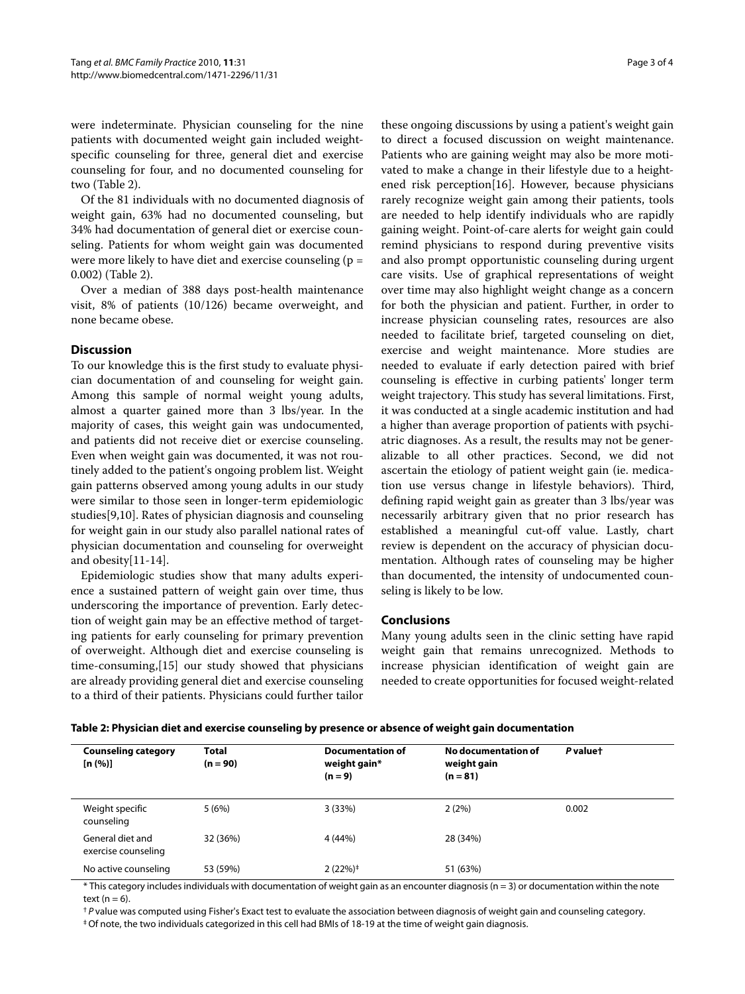were indeterminate. Physician counseling for the nine patients with documented weight gain included weightspecific counseling for three, general diet and exercise counseling for four, and no documented counseling for two (Table 2).

Of the 81 individuals with no documented diagnosis of weight gain, 63% had no documented counseling, but 34% had documentation of general diet or exercise counseling. Patients for whom weight gain was documented were more likely to have diet and exercise counseling (p = 0.002) (Table 2).

Over a median of 388 days post-health maintenance visit, 8% of patients (10/126) became overweight, and none became obese.

## **Discussion**

To our knowledge this is the first study to evaluate physician documentation of and counseling for weight gain. Among this sample of normal weight young adults, almost a quarter gained more than 3 lbs/year. In the majority of cases, this weight gain was undocumented, and patients did not receive diet or exercise counseling. Even when weight gain was documented, it was not routinely added to the patient's ongoing problem list. Weight gain patterns observed among young adults in our study were similar to those seen in longer-term epidemiologic studies[\[9](#page-3-7),[10](#page-3-8)]. Rates of physician diagnosis and counseling for weight gain in our study also parallel national rates of physician documentation and counseling for overweight and obesity[\[11](#page-3-9)-[14\]](#page-3-10).

Epidemiologic studies show that many adults experience a sustained pattern of weight gain over time, thus underscoring the importance of prevention. Early detection of weight gain may be an effective method of targeting patients for early counseling for primary prevention of overweight. Although diet and exercise counseling is time-consuming,[[15](#page-3-11)] our study showed that physicians are already providing general diet and exercise counseling to a third of their patients. Physicians could further tailor

these ongoing discussions by using a patient's weight gain to direct a focused discussion on weight maintenance. Patients who are gaining weight may also be more motivated to make a change in their lifestyle due to a heightened risk perception[\[16](#page-3-12)]. However, because physicians rarely recognize weight gain among their patients, tools are needed to help identify individuals who are rapidly gaining weight. Point-of-care alerts for weight gain could remind physicians to respond during preventive visits and also prompt opportunistic counseling during urgent care visits. Use of graphical representations of weight over time may also highlight weight change as a concern for both the physician and patient. Further, in order to increase physician counseling rates, resources are also needed to facilitate brief, targeted counseling on diet, exercise and weight maintenance. More studies are needed to evaluate if early detection paired with brief counseling is effective in curbing patients' longer term weight trajectory. This study has several limitations. First, it was conducted at a single academic institution and had a higher than average proportion of patients with psychiatric diagnoses. As a result, the results may not be generalizable to all other practices. Second, we did not ascertain the etiology of patient weight gain (ie. medication use versus change in lifestyle behaviors). Third, defining rapid weight gain as greater than 3 lbs/year was necessarily arbitrary given that no prior research has established a meaningful cut-off value. Lastly, chart review is dependent on the accuracy of physician documentation. Although rates of counseling may be higher than documented, the intensity of undocumented counseling is likely to be low.

# **Conclusions**

Many young adults seen in the clinic setting have rapid weight gain that remains unrecognized. Methods to increase physician identification of weight gain are needed to create opportunities for focused weight-related

| <b>Counseling category</b><br>[n (%)]   | Total<br>$(n = 90)$ | <b>Documentation of</b><br>weight gain*<br>$(n = 9)$ | No documentation of<br>weight gain<br>$(n = 81)$ | P valuet |
|-----------------------------------------|---------------------|------------------------------------------------------|--------------------------------------------------|----------|
| Weight specific<br>counseling           | 5(6%)               | 3(33%)                                               | 2(2%)                                            | 0.002    |
| General diet and<br>exercise counseling | 32 (36%)            | 4 (44%)                                              | 28 (34%)                                         |          |
| No active counseling                    | 53 (59%)            | $2(22%)^+$                                           | 51 (63%)                                         |          |

**Table 2: Physician diet and exercise counseling by presence or absence of weight gain documentation**

\* This category includes individuals with documentation of weight gain as an encounter diagnosis (n = 3) or documentation within the note text  $(n = 6)$ .

† P value was computed using Fisher's Exact test to evaluate the association between diagnosis of weight gain and counseling category.

‡ Of note, the two individuals categorized in this cell had BMIs of 18-19 at the time of weight gain diagnosis.